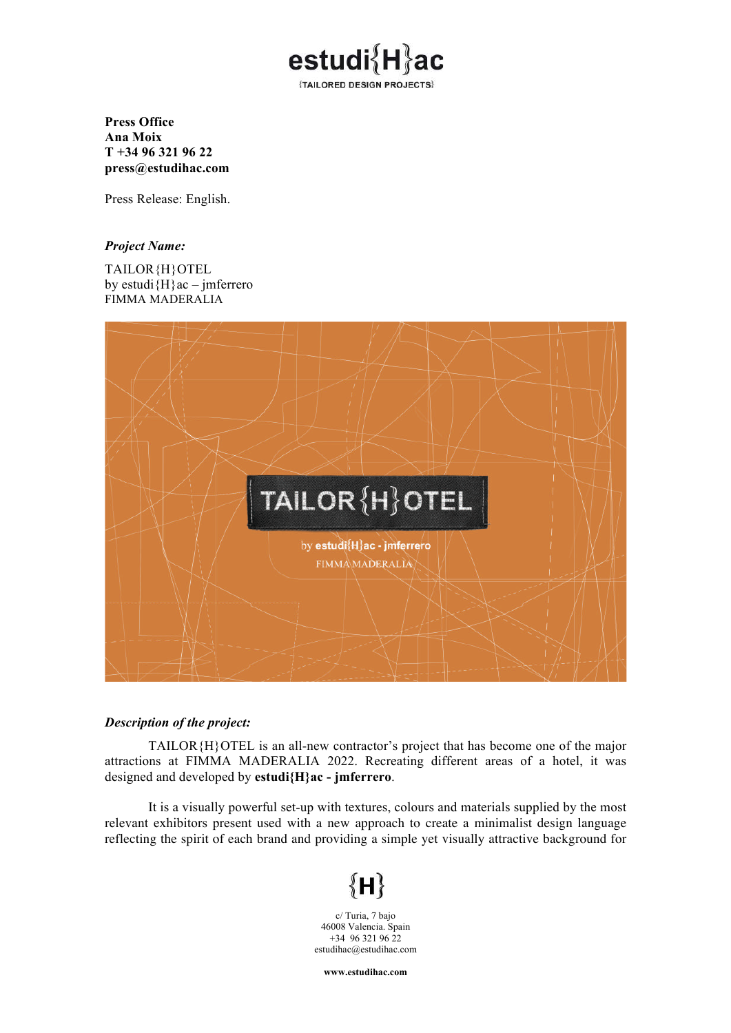

**Press Office Ana Moix T +34 96 321 96 22 press@estudihac.com**

Press Release: English.

## *Project Name:*

TAILOR{H}OTEL by estudi ${H}$ ac – jmferrero FIMMA MADERALIA



## *Description of the project:*

TAILOR{H}OTEL is an all-new contractor's project that has become one of the major attractions at FIMMA MADERALIA 2022. Recreating different areas of a hotel, it was designed and developed by **estudi{H}ac - jmferrero**.

It is a visually powerful set-up with textures, colours and materials supplied by the most relevant exhibitors present used with a new approach to create a minimalist design language reflecting the spirit of each brand and providing a simple yet visually attractive background for

## $\left\lbrace \mathsf{H} \right\rbrace$

c/ Turia, 7 bajo 46008 Valencia. Spain  $+34$  96 321 96 22 estudihac@estudihac.com

**www.estudihac.com**